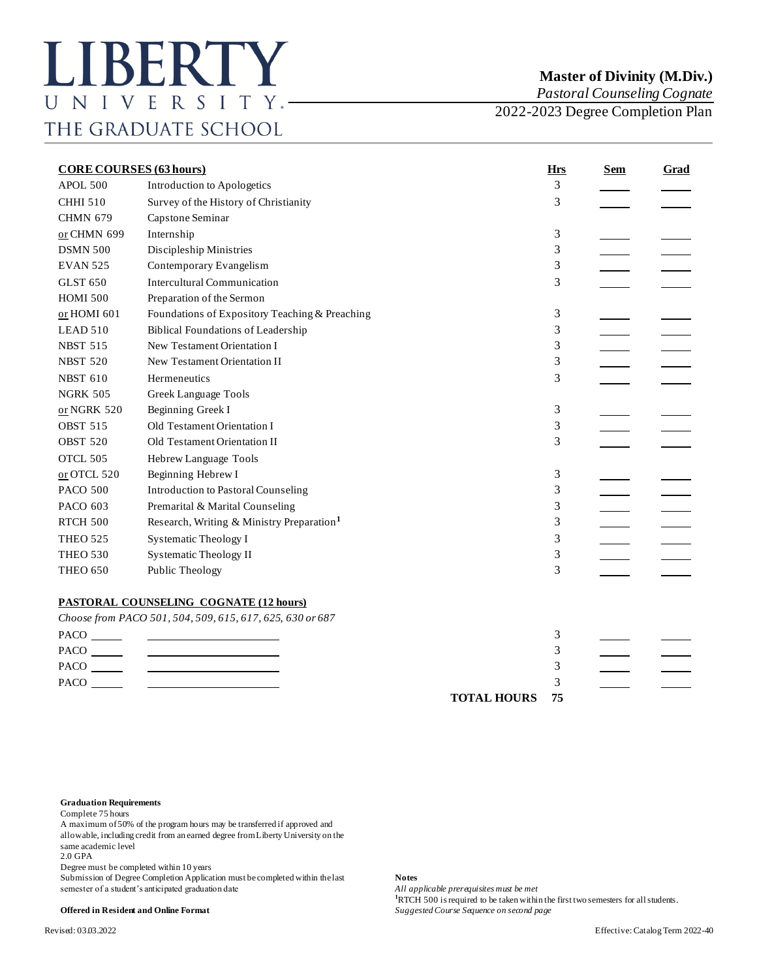*Pastoral Counseling Cognate*

2022-2023 Degree Completion Plan

| <b>CORE COURSES (63 hours)</b> |                                                                                                                      |                    | <b>Hrs</b> | <b>Sem</b> | <b>Grad</b> |
|--------------------------------|----------------------------------------------------------------------------------------------------------------------|--------------------|------------|------------|-------------|
| APOL 500                       | Introduction to Apologetics                                                                                          |                    | 3          |            |             |
| <b>CHHI 510</b>                | Survey of the History of Christianity                                                                                |                    | 3          |            |             |
| <b>CHMN 679</b>                | Capstone Seminar                                                                                                     |                    |            |            |             |
| or CHMN 699                    | Internship                                                                                                           |                    | 3          |            |             |
| <b>DSMN 500</b>                | Discipleship Ministries                                                                                              |                    | 3          |            |             |
| <b>EVAN 525</b>                | Contemporary Evangelism                                                                                              |                    | 3          |            |             |
| <b>GLST 650</b>                | <b>Intercultural Communication</b>                                                                                   |                    | 3          |            |             |
| <b>HOMI 500</b>                | Preparation of the Sermon                                                                                            |                    |            |            |             |
| or HOMI 601                    | Foundations of Expository Teaching & Preaching                                                                       |                    | 3          |            |             |
| LEAD 510                       | <b>Biblical Foundations of Leadership</b>                                                                            |                    | 3          |            |             |
| <b>NBST 515</b>                | New Testament Orientation I                                                                                          |                    | 3          |            |             |
| <b>NBST 520</b>                | New Testament Orientation II                                                                                         |                    | 3          |            |             |
| <b>NBST 610</b>                | Hermeneutics                                                                                                         |                    | 3          |            |             |
| <b>NGRK 505</b>                | Greek Language Tools                                                                                                 |                    |            |            |             |
| $or NGRK 520$                  | Beginning Greek I                                                                                                    |                    | 3          |            |             |
| <b>OBST 515</b>                | Old Testament Orientation I                                                                                          |                    | 3          |            |             |
| <b>OBST 520</b>                | Old Testament Orientation II                                                                                         |                    | 3          |            |             |
| OTCL 505                       | Hebrew Language Tools                                                                                                |                    |            |            |             |
| or OTCL 520                    | Beginning Hebrew I                                                                                                   |                    | 3          |            |             |
| <b>PACO 500</b>                | <b>Introduction to Pastoral Counseling</b>                                                                           |                    | 3          |            |             |
| PACO 603                       | Premarital & Marital Counseling                                                                                      |                    | 3          |            |             |
| RTCH 500                       | Research, Writing & Ministry Preparation <sup>1</sup>                                                                |                    | 3          |            |             |
| <b>THEO 525</b>                | Systematic Theology I                                                                                                |                    | 3          |            |             |
| <b>THEO 530</b>                | <b>Systematic Theology II</b>                                                                                        |                    | 3          |            |             |
| <b>THEO 650</b>                | Public Theology                                                                                                      |                    | 3          |            |             |
|                                | <b>PASTORAL COUNSELING COGNATE (12 hours)</b>                                                                        |                    |            |            |             |
|                                | Choose from PACO 501, 504, 509, 615, 617, 625, 630 or 687                                                            |                    |            |            |             |
|                                | <u> 2000 - 2000 - 2000 - 2000 - 2000 - 2000 - 2000 - 2000 - 2000 - 2000 - 2000 - 2000 - 2000 - 2000 - 2000 - 200</u> |                    | 3          |            |             |
|                                | <u> Alexandria de la contexta de la contexta de la contexta de la contexta de la contexta de la contexta de la c</u> |                    | 3          |            |             |
|                                | <u> Termin a shekara ta 1999 a shekara ta 1999 a shekara ta 1991 a shekara ta 1991 a shekara ta 1991 a shekara t</u> |                    | 3          |            |             |
| PACO _______                   |                                                                                                                      |                    | 3          |            |             |
|                                |                                                                                                                      | <b>TOTAL HOURS</b> | 75         |            |             |

## **Graduation Requirements**

Complete 75 hours

A maximum of 50% of the program hours may be transferred if approved and allowable, including credit from an earned degree from Liberty University on the same academic level

2.0 GPA

Degree must be completed within 10 years

Submission of Degree Completion Application must be completed within the last **Notes**<br>semester of a student's anticipated graduation date *All applicable prerequisites must be met* semester of a student's anticipated graduation date

**<sup>1</sup>**RTCH 500 is required to be taken within the first two semesters for all students. **Offered in Resident and Online Format** *Suggested Course Sequence on second page*